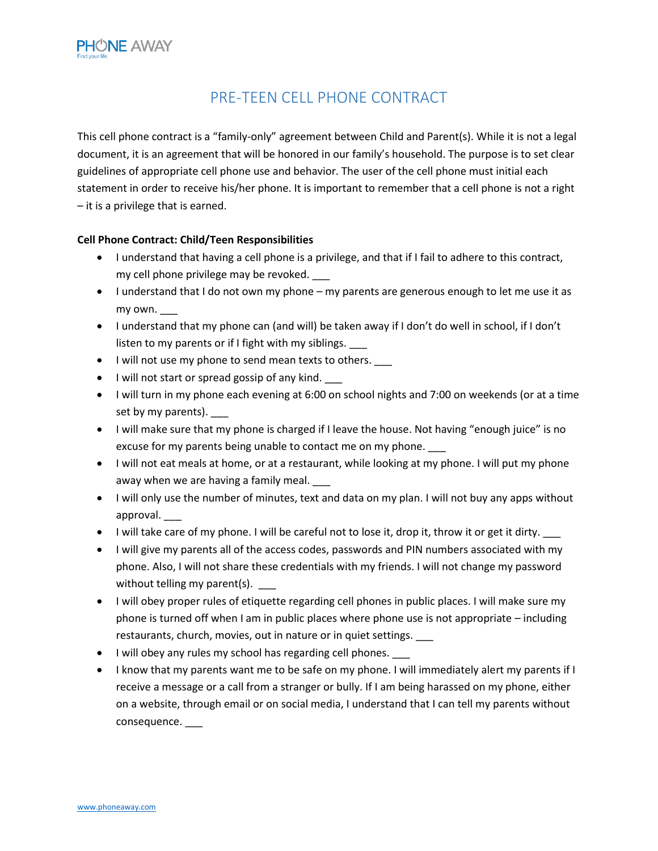## PRE-TEEN CELL PHONE CONTRACT

This cell phone contract is a "family-only" agreement between Child and Parent(s). While it is not a legal document, it is an agreement that will be honored in our family's household. The purpose is to set clear guidelines of appropriate cell phone use and behavior. The user of the cell phone must initial each statement in order to receive his/her phone. It is important to remember that a cell phone is not a right – it is a privilege that is earned.

## **Cell Phone Contract: Child/Teen Responsibilities**

- I understand that having a cell phone is a privilege, and that if I fail to adhere to this contract, my cell phone privilege may be revoked.
- $\bullet$  I understand that I do not own my phone my parents are generous enough to let me use it as my own.
- I understand that my phone can (and will) be taken away if I don't do well in school, if I don't listen to my parents or if I fight with my siblings.
- I will not use my phone to send mean texts to others.
- I will not start or spread gossip of any kind.
- I will turn in my phone each evening at 6:00 on school nights and 7:00 on weekends (or at a time set by my parents).
- I will make sure that my phone is charged if I leave the house. Not having "enough juice" is no excuse for my parents being unable to contact me on my phone.
- I will not eat meals at home, or at a restaurant, while looking at my phone. I will put my phone away when we are having a family meal.
- I will only use the number of minutes, text and data on my plan. I will not buy any apps without approval. \_\_\_
- I will take care of my phone. I will be careful not to lose it, drop it, throw it or get it dirty.
- I will give my parents all of the access codes, passwords and PIN numbers associated with my phone. Also, I will not share these credentials with my friends. I will not change my password without telling my parent(s).
- I will obey proper rules of etiquette regarding cell phones in public places. I will make sure my phone is turned off when I am in public places where phone use is not appropriate – including restaurants, church, movies, out in nature or in quiet settings.
- I will obey any rules my school has regarding cell phones. \_\_\_
- I know that my parents want me to be safe on my phone. I will immediately alert my parents if  $I$ receive a message or a call from a stranger or bully. If I am being harassed on my phone, either on a website, through email or on social media, I understand that I can tell my parents without consequence. \_\_\_